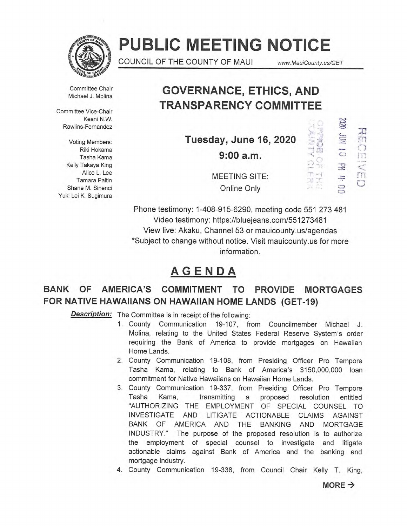

# **PUBLIC MEETING NOTICE**

COUNCIL OF THE COUNTY OF MAUI www.MauiCounty.us/GET

 $\mathbb{C}$  )

 $73$  $\frac{1}{\sqrt{2}}$ 

 $\mathbb{Z}$ 

Committee Chair Michael J. Molina

Committee Vice-Chair Keani N.W. Rawlins-Fernandez

Voting Members: Riki Hokama Tasha Kama Kelly Takaya King Alice L. Lee Tamara Paltin Shane M. Sinenci Yuki Lei K. Sugimura

# **GOVERNANCE, ETHICS, AND TRANSPARENCY COMMITTEE**

**Tuesday, June 16, 2020 9:00 a.m.** 



MEETING SITE: Online Only

Phone testimony: 1-408-915-6290, meeting code 551 273 481 Video testimony: https://bluejeans.com/551273481 View live: Akaku, Channel 53 or mauicounty.us/agendas \*Subject to change without notice. Visit mauicounty.usfor more information.

# **AGENDA**

# **BANK OF AMERICA'S COMMITMENT TO PROVIDE MORTGAGES FOR NATIVE HAWAIIANS ON HAWAIIAN HOME LANDS (GET-19)**

**Description:** The Committee is in receipt of the following:

- 1. County Communication 19-107, from Councilmember Michael J. Molina, relating to the United States Federal Reserve System's order requiring the Bank of America to provide mortgages on Hawaiian Home Lands.
- 2. County Communication 19-108, from Presiding Officer Pro Tempore Tasha Kama, relating to Bank of America's \$150,000,000 loan commitment for Native Hawaiians on Hawaiian Home Lands.
- 3. County Communication 19-337, from Presiding Officer Pro Tempore Tasha Kama, transmitting a proposed resolution entitled "AUTHORIZING THE EMPLOYMENT OF SPECIAL COUNSEL TO INVESTIGATE AND LITIGATE ACTIONABLE CLAIMS AGAINST BANK OF AMERICA AND THE BANKING AND MORTGAGE INDUSTRY." The purpose of the proposed resolution is to authorize the employment of special counsel to investigate and litigate actionable claims against Bank of America and the banking and mortgage industry.
- 4. County Communication 19-338, from Council Chair Kelly T. King,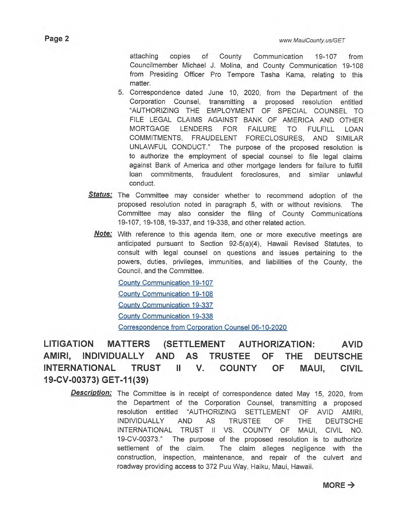attaching copies of County Communication 19-107 from Councilmember Michael J. Molina, and County Communication 19-108 from Presiding Officer Pro Tempore Tasha Kama, relating to this matter.

- 5. Correspondence dated June 10, 2020, from the Department of the Corporation Counsel, transmitting a proposed resolution entitled "AUTHORIZING THE EMPLOYMENT OF SPECIAL COUNSEL TO FILE LEGAL CLAIMS AGAINST BANK OF AMERICA AND OTHER MORTGAGE LENDERS FOR FAILURE TO FULFILL LOAN COMMITMENTS, FRAUDELENT FORECLOSURES, AND SIMILAR UNLAWFUL CONDUCT." The purpose of the proposed resolution is to authorize the employment of special counsel to file legal claims against Bank of America and other mortgage lenders for failure to fulfill loan commitments, fraudulent foreclosures, and similar unlawful conduct.
- **Status:** The Committee may consider whether to recommend adoption of the proposed resolution noted in paragraph 5, with or without revisions. The Committee may also consider the filing of County Communications 19-107, 19-108, 19-337, and 19-338, and other related action.
	- **Note:** With reference to this agenda item, one or more executive meetings are anticipated pursuant to Section 92-5(a)(4), Hawaii Revised Statutes, to consult with legal counsel on questions and issues pertaining to the powers, duties, privileges, immunities, and liabilities of the County, the Council, and the Committee.

County Communication 19-107 County Communication 19-108 County Communication 19-337 County Communication 19-338 Correspondence from Corporation Counsel 06-10-2020

**LITIGATION MATTERS (SETTLEMENT AUTHORIZATION: AVID AMIRI, INDIVIDUALLY AND AS TRUSTEE OF THE DEUTSCHE INTERNATIONAL TRUST II V. COUNTY OF MAUI, CIVIL 19-CV-00373) GET-11(39)** 

**Description:** The Committee is in receipt of correspondence dated May 15, 2020, from the Department of the Corporation Counsel, transmitting a proposed resolution entitled "AUTHORIZING SETTLEMENT OF AVID AMIRI, INDIVIDUALLY AND AS TRUSTEE OF THE DEUTSCHE INTERNATIONAL TRUST II VS. COUNTY OF MAUI, CIVIL NO. 19-CV-00373." The purpose of the proposed resolution is to authorize settlement of the claim. The claim alleges negligence with the construction, inspection, maintenance, and repair of the culvert and roadway providing access to 372 Puu Way, Haiku, Maui, Hawaii.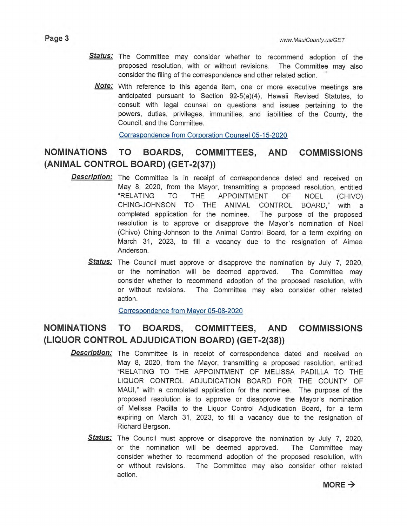- Status: The Committee may consider whether to recommend adoption of the proposed resolution, with or without revisions. The Committee may also consider the filing of the correspondence and other related action.
	- **Note:**  With reference to this agenda item, one or more executive meetings are anticipated pursuant to Section 92-5(a)(4), Hawaii Revised Statutes, to consult with legal counsel on questions and issues pertaining to the powers, duties, privileges, immunities, and liabilities of the County, the Council, and the Committee.

Correspondence from Corporation Counsel 05-15-2020

## **NOMINATIONS TO BOARDS, COMMITTEES, AND COMMISSIONS (ANIMAL CONTROL BOARD) (GET-2(37))**

- **Description:** The Committee is in receipt of correspondence dated and received on May 8, 2020, from the Mayor, transmitting a proposed resolution, entitled "RELATING TO THE APPOINTMENT OF NOEL (CHIVO) CHING-JOHNSON TO THE ANIMAL CONTROL BOARD," with a completed application for the nominee. The purpose of the proposed resolution is to approve or disapprove the Mayor's nomination of Noel (Chivo) Ching-Johnson to the Animal Control Board, for a term expiring on March 31, 2023, to fill a vacancy due to the resignation of Aimee Anderson.
	- **Status:** The Council must approve or disapprove the nomination by July 7, 2020, or the nomination will be deemed approved. The Committee may consider whether to recommend adoption of the proposed resolution, with or without revisions. The Committee may also consider other related action.

Correspondence from Mayor 05-08-2020

### **NOMINATIONS TO BOARDS, COMMITTEES, AND COMMISSIONS (LIQUOR CONTROL ADJUDICATION BOARD) (GET-2(38))**

- **Description:**  The Committee is in receipt of correspondence dated and received on May 8, 2020, from the Mayor, transmitting a proposed resolution, entitled "RELATING TO THE APPOINTMENT OF MELISSA PADILLA TO THE LIQUOR CONTROL ADJUDICATION BOARD FOR THE COUNTY OF MAUI," with a completed application for the nominee. The purpose of the proposed resolution is to approve or disapprove the Mayor's nomination of Melissa Padilla to the Liquor Control Adjudication Board, for a term expiring on March 31, 2023, to fill a vacancy due to the resignation of Richard Bergson.
	- **Status:**  The Council must approve or disapprove the nomination by July 7, 2020, or the nomination will be deemed approved. The Committee may consider whether to recommend adoption of the proposed resolution, with or without revisions. The Committee may also consider other related action.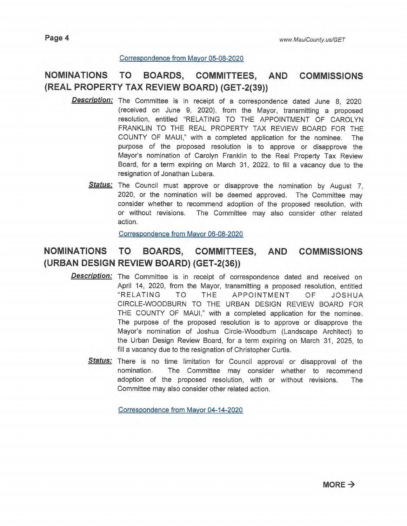#### Correspondence from Mayor 05-08-2020

### **NOMINATIONS TO BOARDS, COMMITTEES, AND COMMISSIONS (REAL PROPERTY TAX REVIEW BOARD) (GET-2(39))**

- **Description:**  The Committee is in receipt of a correspondence dated June 8, 2020 (received on June 9, 2020), from the Mayor, transmitting a proposed resolution, entitled "RELATING TO THE APPOINTMENT OF CAROLYN FRANKLIN TO THE REAL PROPERTY TAX REVIEW BOARD FOR THE COUNTY OF MAUI," with a completed application for the nominee. The purpose of the proposed resolution is to approve or disapprove the Mayor's nomination of Carolyn Franklin to the Real Property Tax Review Board, for a term expiring on March 31, 2022, to fill a vacancy due to the resignation of Jonathan Lubera.
	- Status: The Council must approve or disapprove the nomination by August 7, 2020, or the nomination will be deemed approved. The Committee may consider whether to recommend adoption of the proposed resolution, with or without revisions. The Committee may also consider other related action.

Correspondence from Mayor 06-08-2020

#### **NOMINATIONS TO BOARDS, COMMITTEES, AND COMMISSIONS (URBAN DESIGN REVIEW BOARD) (GET-2(36))**

- **Description:**  The Committee is in receipt of correspondence dated and received on April 14, 2020, from the Mayor, transmitting a proposed resolution, entitled "RELATING TO THE APPOINTMENT OF JOSHUA CIRCLE-WOODBURN TO THE URBAN DESIGN REVIEW BOARD FOR THE COUNTY OF MAUI," with a completed application for the nominee. The purpose of the proposed resolution is to approve or disapprove the Mayor's nomination of Joshua Circle-Woodburn (Landscape Architect) to the Urban Design Review Board, for a term expiring on March 31, 2025, to fill a vacancy due to the resignation of Christopher Curtis.
	- **Status:**  There is no time limitation for Council approval or disapproval of the nomination. The Committee may consider whether to recommend adoption of the proposed resolution, with or without revisions. The Committee may also consider other related action.

Correspondence from Mayor 04-14-2020